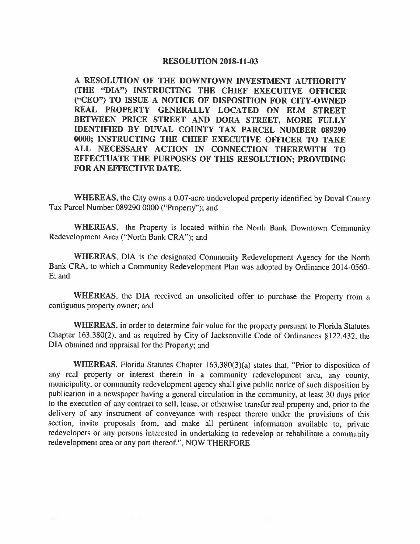## **RESOLUTION 2018-11-03**

**A RESOLUTION OF THE DOWNTOWN INVESTMENT AUTHORITY (THE "DIA") INSTRUCTING THE CHIEF EXECUTIVE OFFICER ("CEO") TO ISSUE A NOTICE OF DISPOSITION FOR CITY-OWNED REAL PROPERTY GENERALLY LOCATED ON ELM STREET BETWEEN PRICE STREET AND DORA STREET, MORE FULLY IDENTIFIED BY DUVAL COUNTY TAX PARCEL NUMBER 089290 0000; INSTRUCTING THE CHIEF EXECUTIVE OFFICER TO TAKE ALL NECESSARY ACTION IN CONNECTION THEREWITH TO EFFECTUATE THE PURPOSES OF THIS RESOLUTION; PROVIDING FOR AN EFFECTIVE DATE.** 

**WHEREAS,** the City owns a 0.07-acre undeveloped property identified by Duval County Tax Parcel Number 089290 0000 ("Property"); and

**WHEREAS,** the Property is located within the North Bank Downtown Community Redevelopment Area ("North Bank CRA"); and

**WHEREAS,** DIA is the designated Community Redevelopment Agency for the North Bank CRA, to which a Community Redevelopment Plan was adopted by Ordinance 2014-0560- E; and

**WHEREAS,** the DIA received an unsolicited offer to purchase the Property from a contiguous property owner; and

**WHEREAS,** in order to determine fair value for the property pursuant to Florida Statutes Chapter 163.380(2), and as required by City of Jacksonville Code of Ordinances § 122.432, the DIA obtained and appraisal for the Property; and

**WHEREAS,** Florida Statutes Chapter l63.380(3)(a) states that, "Prior to disposition of any real property or interest therein in a community redevelopment area, any county, municipality, or community redevelopment agency shall give public notice of such disposition by publication in a newspaper having a general circulation in the community, at least 30 days prior to the execution of any contract to sell, lease, or otherwise transfer real property and, prior to the delivery of any instrument of conveyance with respect thereto under the provisions of this section, invite proposals from, and make all pertinent information available to, private redevelopers or any persons interested in undertaking to redevelop or rehabilitate a community redevelopment area or any part thereof.", NOW THERFORE